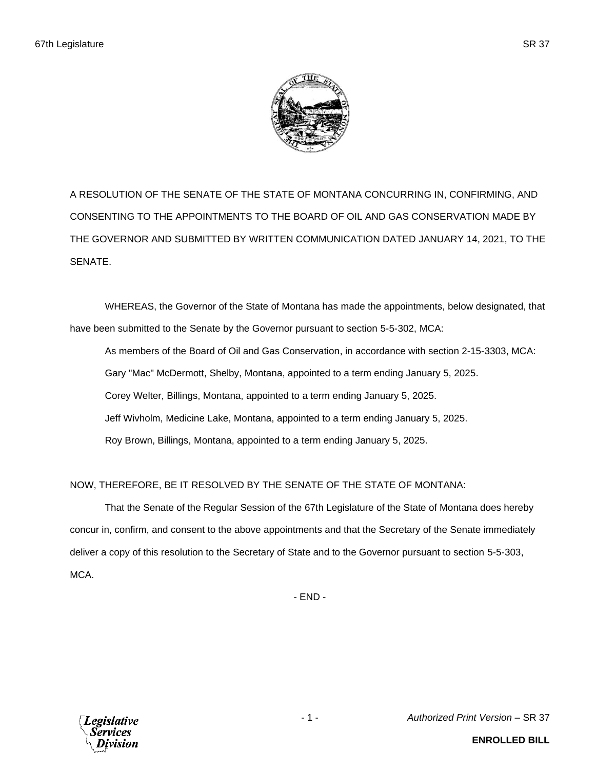

A RESOLUTION OF THE SENATE OF THE STATE OF MONTANA CONCURRING IN, CONFIRMING, AND CONSENTING TO THE APPOINTMENTS TO THE BOARD OF OIL AND GAS CONSERVATION MADE BY THE GOVERNOR AND SUBMITTED BY WRITTEN COMMUNICATION DATED JANUARY 14, 2021, TO THE SENATE.

WHEREAS, the Governor of the State of Montana has made the appointments, below designated, that have been submitted to the Senate by the Governor pursuant to section 5-5-302, MCA:

As members of the Board of Oil and Gas Conservation, in accordance with section 2-15-3303, MCA: Gary "Mac" McDermott, Shelby, Montana, appointed to a term ending January 5, 2025. Corey Welter, Billings, Montana, appointed to a term ending January 5, 2025. Jeff Wivholm, Medicine Lake, Montana, appointed to a term ending January 5, 2025. Roy Brown, Billings, Montana, appointed to a term ending January 5, 2025.

NOW, THEREFORE, BE IT RESOLVED BY THE SENATE OF THE STATE OF MONTANA:

That the Senate of the Regular Session of the 67th Legislature of the State of Montana does hereby concur in, confirm, and consent to the above appointments and that the Secretary of the Senate immediately deliver a copy of this resolution to the Secretary of State and to the Governor pursuant to section 5-5-303, MCA.

- END -



- 1 - *Authorized Print Version* – SR 37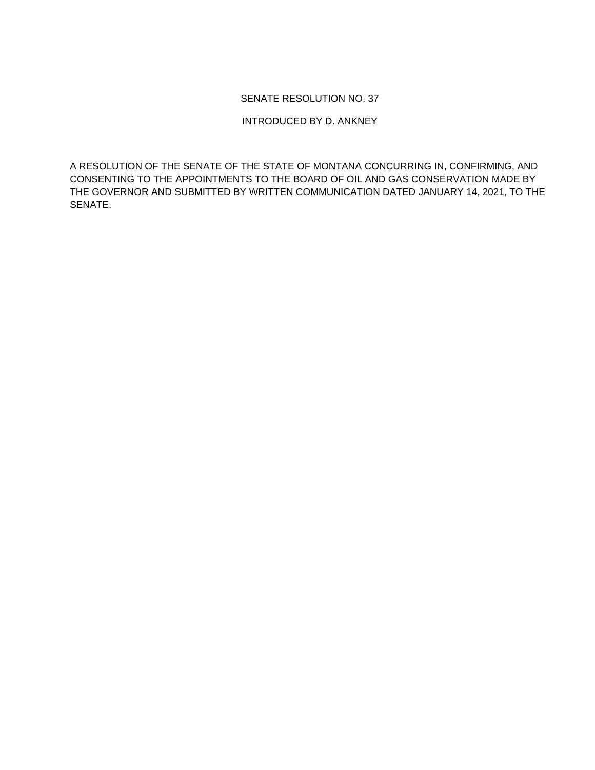## SENATE RESOLUTION NO. 37

## INTRODUCED BY D. ANKNEY

A RESOLUTION OF THE SENATE OF THE STATE OF MONTANA CONCURRING IN, CONFIRMING, AND CONSENTING TO THE APPOINTMENTS TO THE BOARD OF OIL AND GAS CONSERVATION MADE BY THE GOVERNOR AND SUBMITTED BY WRITTEN COMMUNICATION DATED JANUARY 14, 2021, TO THE SENATE.